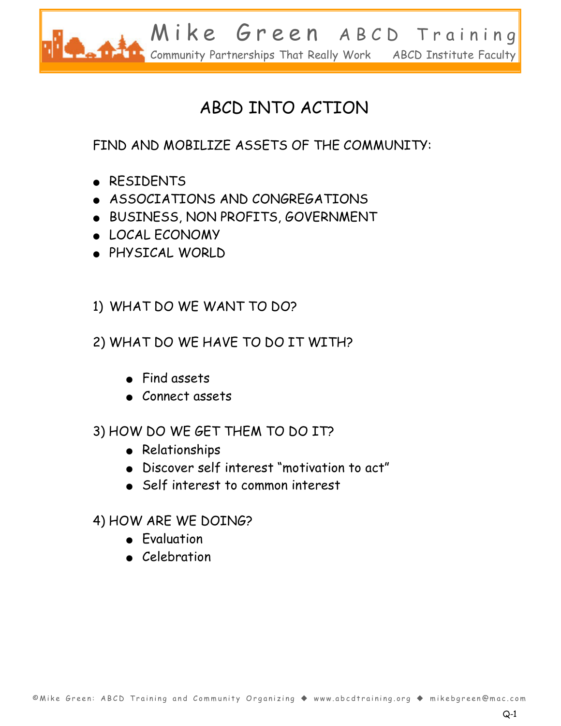

# ABCD INTO ACTION

FIND AND MOBILIZE ASSETS OF THE COMMUNITY:

- RESIDENTS
- ASSOCIATIONS AND CONGREGATIONS
- ٨- BUSINESS, NON PROFITS, GOVERNMENT
- ٨- LOCAL ECONOMY
- ٨- PHYSICAL WORLD

### 1) WHAT DO WE WANT TO DO?

### 2) WHAT DO WE HAVE TO DO IT WITH?

- $\bullet$  Find assets
- Connect assets

### 3) HOW DO WE GET THEM TO DO IT?

- Relationships
- $\bullet$  Discover self interest "motivation to act"
- Self interest to common interest

### 4) HOW ARE WE DOING?

- Evaluation
- Celebration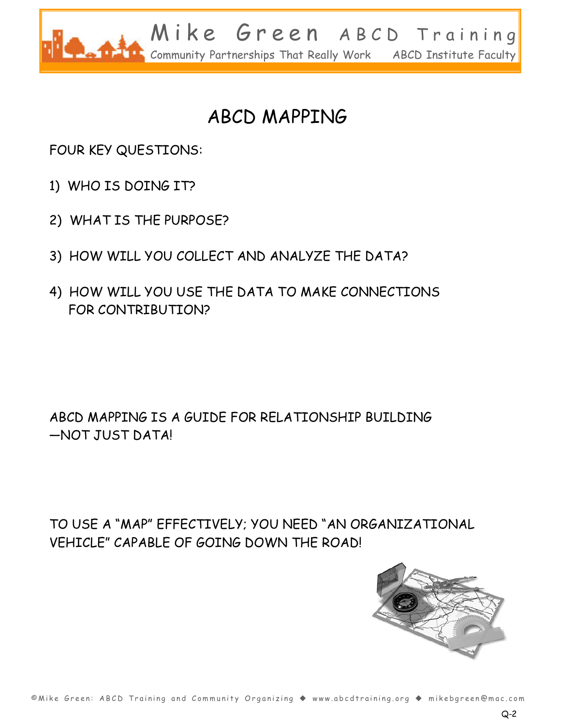

# ABCD MAPPING

FOUR KEY QUESTIONS:

- 1) WHO IS DOING IT?
- 2) WHAT IS THE PURPOSE?
- 3) HOW WILL YOU COLLECT AND ANALYZE THE DATA?
- 4) HOW WILL YOU USE THE DATA TO MAKE CONNECTIONS FOR CONTRIBUTION?

ABCD MAPPING IS A GUIDE FOR RELATIONSHIP BUILDING \_NOT JUST DATA!

TO USE A "MAP" EFFECTIVELY; YOU NEED "AN ORGANIZATIONAL VEHICLE" CAPABLE OF GOING DOWN THE ROAD!

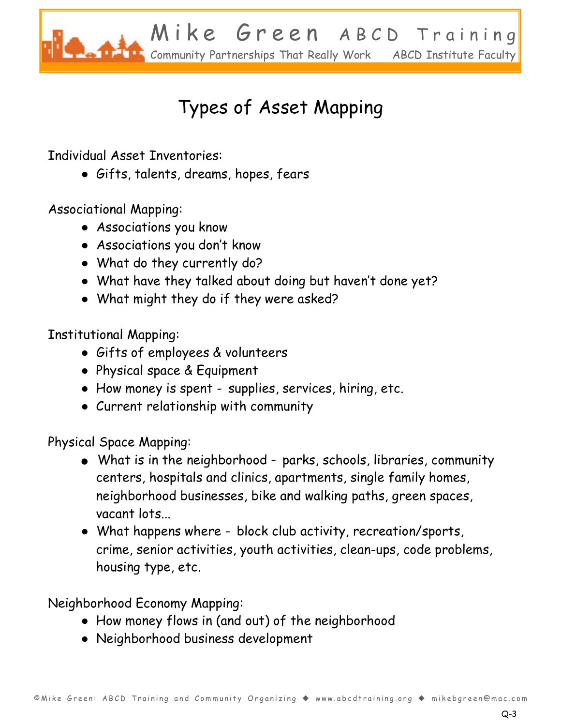

# Types of Asset Mapping

Individual Asset Inventories:

Ɣ Gifts, talents, dreams, hopes, fears

Associational Mapping:

- Ɣ Associations you know
- Associations you don't know
- What do they currently do?
- What have they talked about doing but haven't done yet?
- What might they do if they were asked?

Institutional Mapping:

- Ɣ Gifts of employees & volunteers
- Ɣ Physical space & Equipment
- How money is spent supplies, services, hiring, etc.
- Ɣ Current relationship with community

Physical Space Mapping:

- $\bullet$  What is in the neighborhood parks, schools, libraries, community centers, hospitals and clinics, apartments, single family homes, neighborhood businesses, bike and walking paths, green spaces, vacant lots...
- What happens where block club activity, recreation/sports, crime, senior activities, youth activities, clean-ups, code problems, housing type, etc.

Neighborhood Economy Mapping:

- How money flows in (and out) of the neighborhood
- Ɣ Neighborhood business development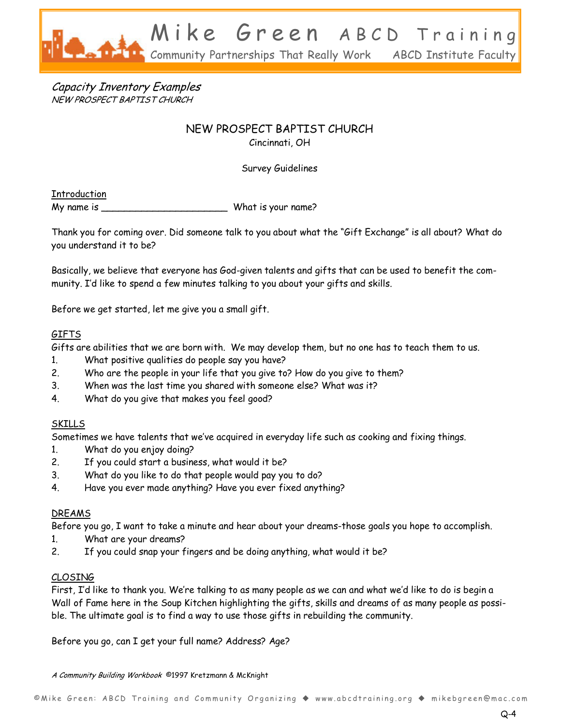

Capacity Inventory Examples NEW PROSPECT BAPTIST CHURCH

### NEW PROSPECT BAPTIST CHURCH

Cincinnati, OH

Survey Guidelines

Introduction

My name is \_\_\_\_\_\_\_\_\_\_\_\_\_\_\_\_\_\_\_\_\_\_ What is your name?

Thank you for coming over. Did someone talk to you about what the "Gift Exchange" is all about? What do you understand it to be?

Basically, we believe that everyone has God-given talents and gifts that can be used to benefit the community. I'd like to spend a few minutes talking to you about your gifts and skills.

Before we get started, let me give you a small gift.

#### GIFTS

Gifts are abilities that we are born with. We may develop them, but no one has to teach them to us.

- 1. What positive qualities do people say you have?
- 2. Who are the people in your life that you give to? How do you give to them?
- 3. When was the last time you shared with someone else? What was it?
- 4. What do you give that makes you feel good?

#### SKILLS

Sometimes we have talents that we've acquired in everyday life such as cooking and fixing things.

- 1. What do you enjoy doing?
- 2. If you could start a business, what would it be?
- 3. What do you like to do that people would pay you to do?
- 4. Have you ever made anything? Have you ever fixed anything?

#### DREAMS

Before you go, I want to take a minute and hear about your dreams-those goals you hope to accomplish.

- 1. What are your dreams?
- 2. If you could snap your fingers and be doing anything, what would it be?

#### CLOSING

First, I'd like to thank you. We're talking to as many people as we can and what we'd like to do is begin a Wall of Fame here in the Soup Kitchen highlighting the gifts, skills and dreams of as many people as possible. The ultimate goal is to find a way to use those gifts in rebuilding the community.

Before you go, can I get your full name? Address? Age?

A Community Building Workbook ©1997 Kretzmann & McKnight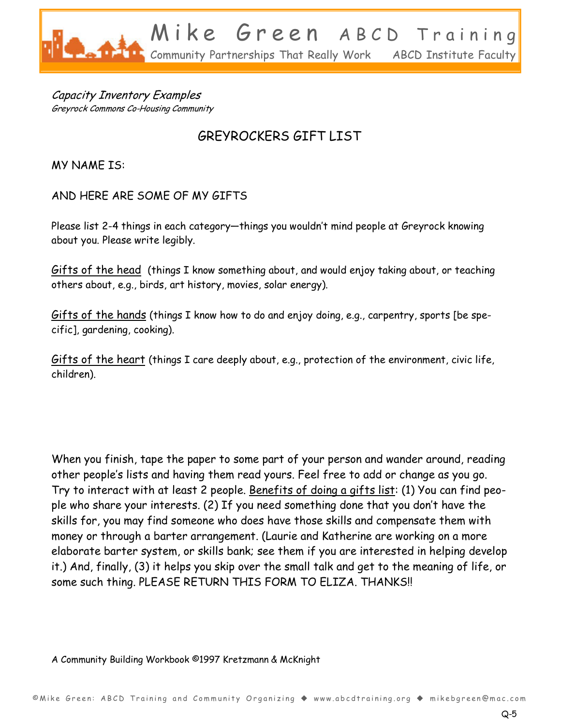

Capacity Inventory Examples Greyrock Commons Co-Housing Community

### GREYROCKERS GIFT LIST

MY NAME IS:

AND HERE ARE SOME OF MY GIFTS

Please list 2-4 things in each category-things you wouldn't mind people at Greyrock knowing about you. Please write legibly.

Gifts of the head (things I know something about, and would enjoy taking about, or teaching others about, e.g., birds, art history, movies, solar energy).

Gifts of the hands (things I know how to do and enjoy doing, e.g., carpentry, sports [be specific], gardening, cooking).

Gifts of the heart (things I care deeply about, e.g., protection of the environment, civic life, children).

When you finish, tape the paper to some part of your person and wander around, reading other people's lists and having them read yours. Feel free to add or change as you go. Try to interact with at least 2 people. Benefits of doing a gifts list: (1) You can find people who share your interests. (2) If you need something done that you don't have the skills for, you may find someone who does have those skills and compensate them with money or through a barter arrangement. (Laurie and Katherine are working on a more elaborate barter system, or skills bank; see them if you are interested in helping develop it.) And, finally, (3) it helps you skip over the small talk and get to the meaning of life, or some such thing. PLEASE RETURN THIS FORM TO ELIZA. THANKS!!

A Community Building Workbook ©1997 Kretzmann & McKnight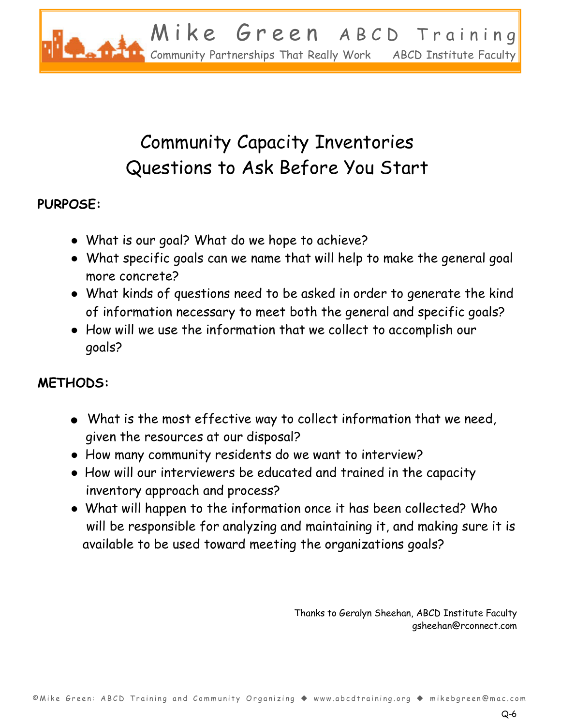

# Community Capacity Inventories Questions to Ask Before You Start

### **PURPOSE:**

- What is our goal? What do we hope to achieve?
- What specific goals can we name that will help to make the general goal more concrete?
- Ɣ What kinds of questions need to be asked in order to generate the kind of information necessary to meet both the general and specific goals?
- Ɣ How will we use the information that we collect to accomplish our goals?

### **METHODS:**

- $\bullet$  What is the most effective way to collect information that we need, given the resources at our disposal?
- Ɣ How many community residents do we want to interview?
- Ɣ How will our interviewers be educated and trained in the capacity inventory approach and process?
- Ɣ What will happen to the information once it has been collected? Who will be responsible for analyzing and maintaining it, and making sure it is available to be used toward meeting the organizations goals?

Thanks to Geralyn Sheehan, ABCD Institute Faculty gsheehan@rconnect.com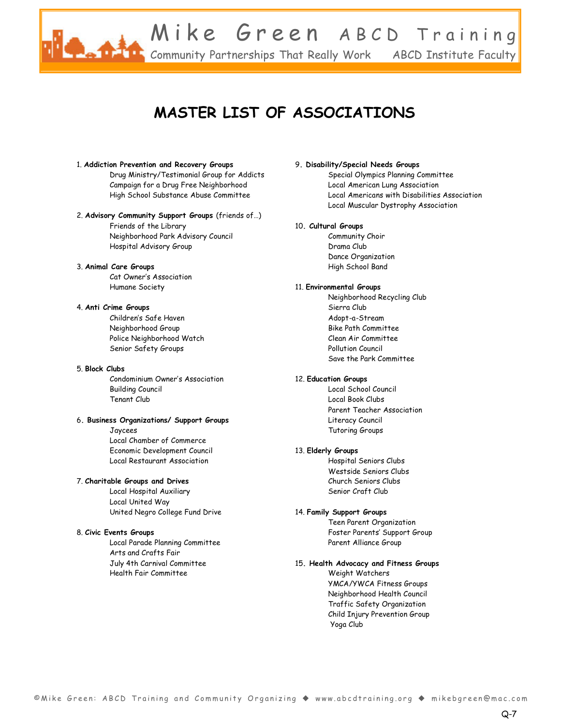

### **MASTER LIST OF ASSOCIATIONS**

#### 1. **Addiction Prevention and Recovery Groups**

Drug Ministry/Testimonial Group for Addicts Campaign for a Drug Free Neighborhood High School Substance Abuse Committee

#### 2. Advisory Community Support Groups (friends of...)

Friends of the Library Neighborhood Park Advisory Council Hospital Advisory Group

#### 3. **Animal Care Groups**

Cat Owner's Association Humane Society

#### 4. **Anti Crime Groups**

Children's Safe Haven Neighborhood Group Police Neighborhood Watch Senior Safety Groups

#### 5. **Block Clubs**

Condominium Owner's Association Building Council Tenant Club

#### 6**. Business Organizations/ Support Groups**

Jaycees Local Chamber of Commerce Economic Development Council Local Restaurant Association

#### 7. **Charitable Groups and Drives**

Local Hospital Auxiliary Local United Way United Negro College Fund Drive

#### 8. **Civic Events Groups**

Local Parade Planning Committee Arts and Crafts Fair July 4th Carnival Committee Health Fair Committee

#### 9**. Disability/Special Needs Groups**

Special Olympics Planning Committee Local American Lung Association Local Americans with Disabilities Association Local Muscular Dystrophy Association

#### 10**. Cultural Groups**

Community Choir Drama Club Dance Organization High School Band

#### 11. **Environmental Groups**

Neighborhood Recycling Club Sierra Club Adopt-a-Stream Bike Path Committee Clean Air Committee Pollution Council Save the Park Committee

#### 12. **Education Groups**

Local School Council Local Book Clubs Parent Teacher Association Literacy Council Tutoring Groups

#### 13. **Elderly Groups**

Hospital Seniors Clubs Westside Seniors Clubs Church Seniors Clubs Senior Craft Club

#### 14. **Family Support Groups**

Teen Parent Organization Foster Parents' Support Group Parent Alliance Group

#### 15**. Health Advocacy and Fitness Groups**

Weight Watchers YMCA/YWCA Fitness Groups Neighborhood Health Council Traffic Safety Organization Child Injury Prevention Group Yoga Club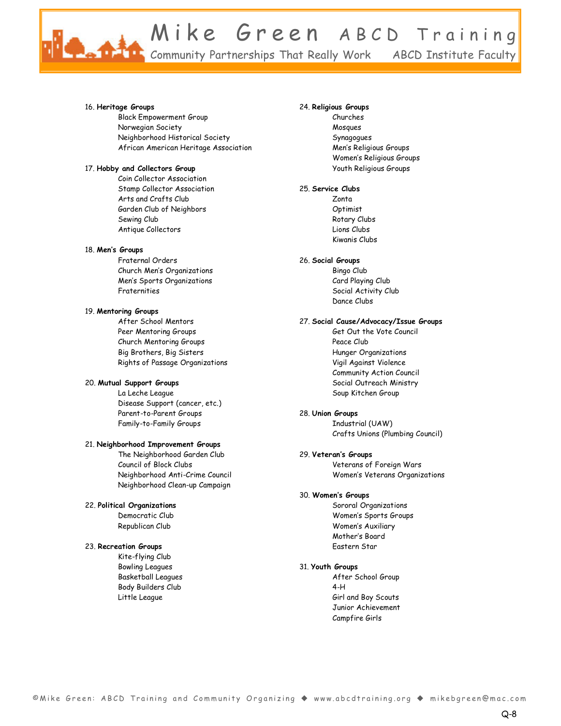Mike Green ABCD Training Community Partnerships That Really Work ABCD Institute Faculty

#### 16. **Heritage Groups**

Black Empowerment Group Norwegian Society Neighborhood Historical Society African American Heritage Association

#### 17. **Hobby and Collectors Group**

Coin Collector Association Stamp Collector Association Arts and Crafts Club Garden Club of Neighbors Sewing Club Antique Collectors

#### 18. Men's Groups

Fraternal Orders Church Men's Organizations Men's Sports Organizations Fraternities

#### 19. **Mentoring Groups**

After School Mentors Peer Mentoring Groups Church Mentoring Groups Big Brothers, Big Sisters Rights of Passage Organizations

#### 20. **Mutual Support Groups**

La Leche League Disease Support (cancer, etc.) Parent-to-Parent Groups Family-to-Family Groups

#### 21. **Neighborhood Improvement Groups**

The Neighborhood Garden Club Council of Block Clubs Neighborhood Anti-Crime Council Neighborhood Clean-up Campaign

#### 22. **Political Organizations**

Democratic Club Republican Club

#### 23. **Recreation Groups**

Kite-flying Club Bowling Leagues Basketball Leagues Body Builders Club Little League

#### 24. **Religious Groups**

Churches Mosques Synagogues Men's Religious Groups Women's Religious Groups Youth Religious Groups

#### 25. **Service Clubs**

Zonta Optimist Rotary Clubs Lions Clubs Kiwanis Clubs

#### 26. **Social Groups**

Bingo Club Card Playing Club Social Activity Club Dance Clubs

#### 27. **Social Cause/Advocacy/Issue Groups**

Get Out the Vote Council Peace Club Hunger Organizations Vigil Against Violence Community Action Council Social Outreach Ministry Soup Kitchen Group

#### 28. **Union Groups**

Industrial (UAW) Crafts Unions (Plumbing Council)

#### 29. Veteran's Groups

Veterans of Foreign Wars Women's Veterans Organizations

#### 30. Women's Groups

Sororal Organizations Women's Sports Groups Women's Auxiliary Mother's Board Eastern Star

#### 31. **Youth Groups**

After School Group 4-H Girl and Boy Scouts Junior Achievement Campfire Girls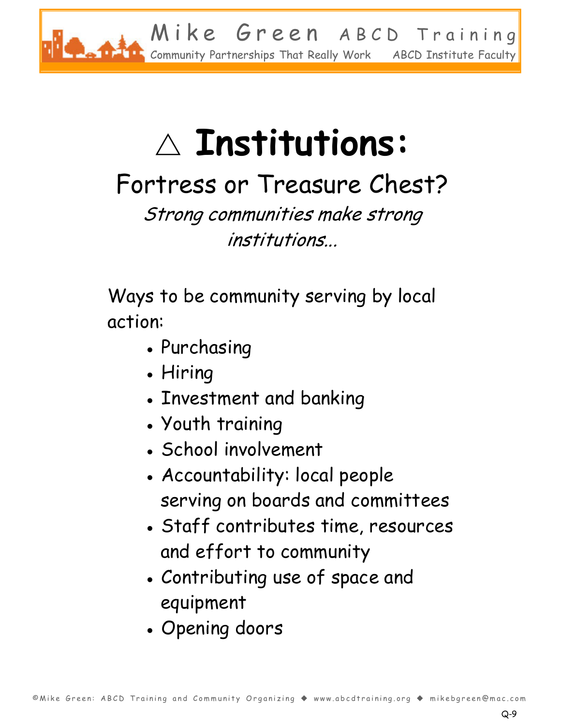

# $\triangle$  Institutions:

# Fortress or Treasure Chest?

Strong communities make strong institutions...

Ways to be community serving by local action:

- ȹ Purchasing
- Hiring
- ȹ Investment and banking
- ȹ Youth training
- ȹ School involvement
- ȹ Accountability: local people serving on boards and committees
- ȹ Staff contributes time, resources and effort to community
- ȹ Contributing use of space and equipment
- ȹ Opening doors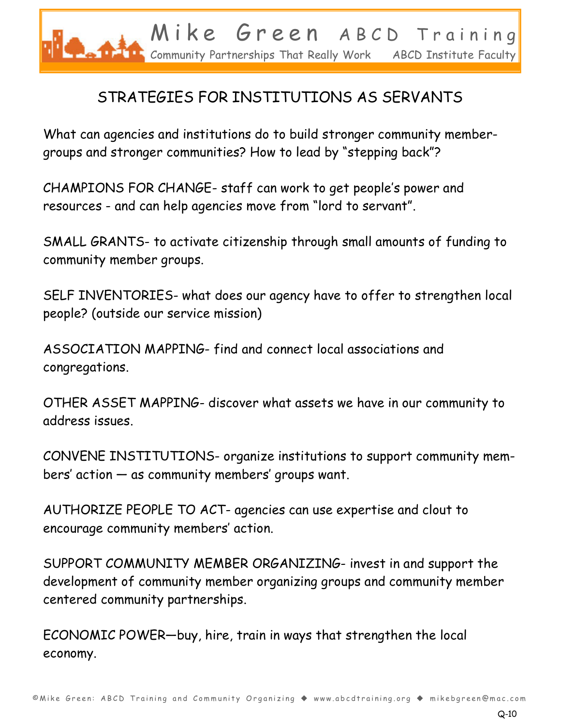

## STRATEGIES FOR INSTITUTIONS AS SERVANTS

What can agencies and institutions do to build stronger community membergroups and stronger communities? How to lead by "stepping back"?

CHAMPIONS FOR CHANGE- staff can work to get people's power and resources - and can help agencies move from "lord to servant".

SMALL GRANTS- to activate citizenship through small amounts of funding to community member groups.

SELF INVENTORIES- what does our agency have to offer to strengthen local people? (outside our service mission)

ASSOCIATION MAPPING- find and connect local associations and congregations.

OTHER ASSET MAPPING- discover what assets we have in our community to address issues.

CONVENE INSTITUTIONS- organize institutions to support community members' action  $-$  as community members' groups want.

AUTHORIZE PEOPLE TO ACT- agencies can use expertise and clout to encourage community members' action.

SUPPORT COMMUNITY MEMBER ORGANIZING- invest in and support the development of community member organizing groups and community member centered community partnerships.

ECONOMIC POWER-buy, hire, train in ways that strengthen the local economy.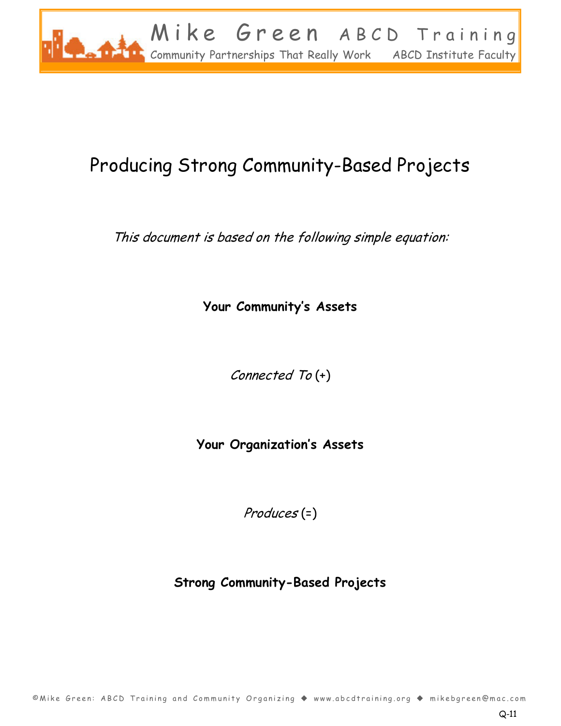

# Producing Strong Community-Based Projects

This document is based on the following simple equation:

**Your Community's Assets** 

Connected To (+)

**Your Organization's Assets** 

Produces (=)

**Strong Community-Based Projects**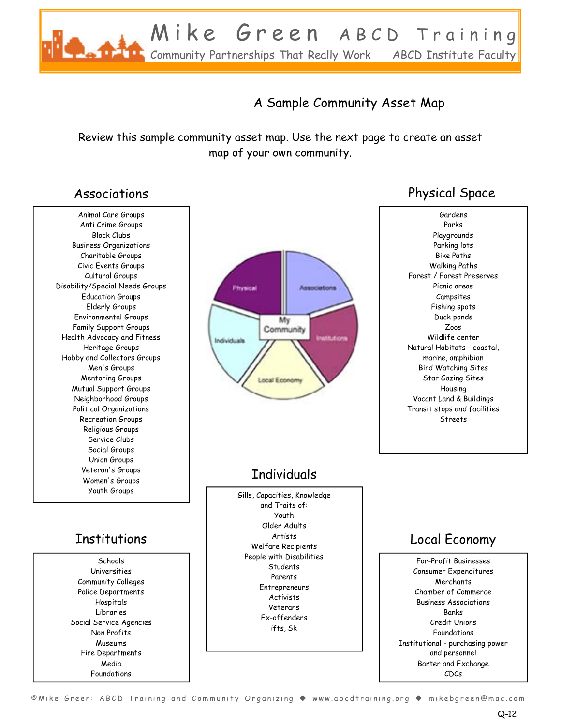

### A Sample Community Asset Map

Review this sample community asset map. Use the next page to create an asset map of your own community.

Animal Care Groups Anti Crime Groups Block Clubs Business Organizations Charitable Groups Civic Events Groups Cultural Groups Disability/Special Needs Groups Education Groups Elderly Groups Environmental Groups Family Support Groups Health Advocacy and Fitness Heritage Groups Hobby and Collectors Groups Men's Groups Mentoring Groups Mutual Support Groups Neighborhood Groups Political Organizations Recreation Groups Religious Groups Service Clubs Social Groups Union Groups Veteran's Groups Women's Groups Youth Groups

Schools Universities Community Colleges Police Departments Hospitals Libraries Social Service Agencies Non Profits Museums Fire Departments Media Foundations



### **Individuals**

Gills, Capacities, Knowledge and Traits of: Youth Older Adults Artists Welfare Recipients People with Disabilities **Students** Parents **Entrepreneurs Activists** Veterans Ex-offenders ifts, Sk Institutions | <sup>Artists</sup> Local Economy

### Associations **Physical Space**

Gardens Parks Playgrounds Parking lots Bike Paths Walking Paths Forest / Forest Preserves Picnic areas Campsites Fishing spots Duck ponds Zoos Wildlife center Natural Habitats - coastal, marine, amphibian Bird Watching Sites Star Gazing Sites Housing Vacant Land & Buildings Transit stops and facilities Streets

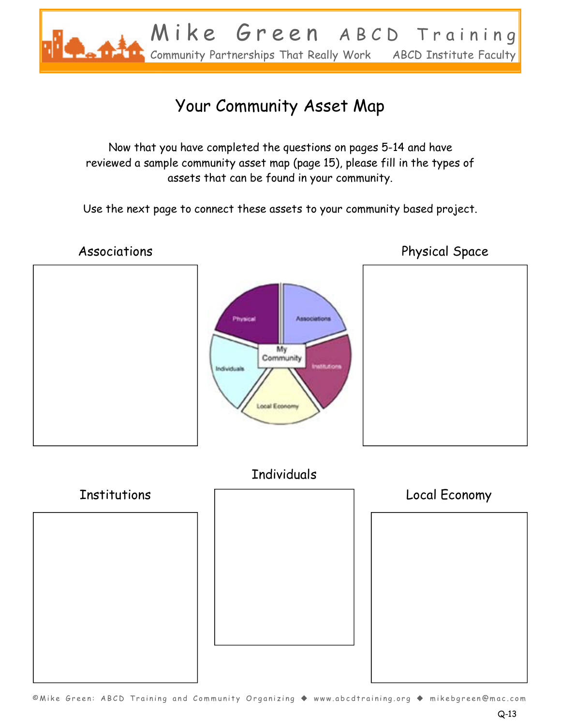

# Your Community Asset Map

Now that you have completed the questions on pages 5-14 and have reviewed a sample community asset map (page 15), please fill in the types of assets that can be found in your community.

Use the next page to connect these assets to your community based project.

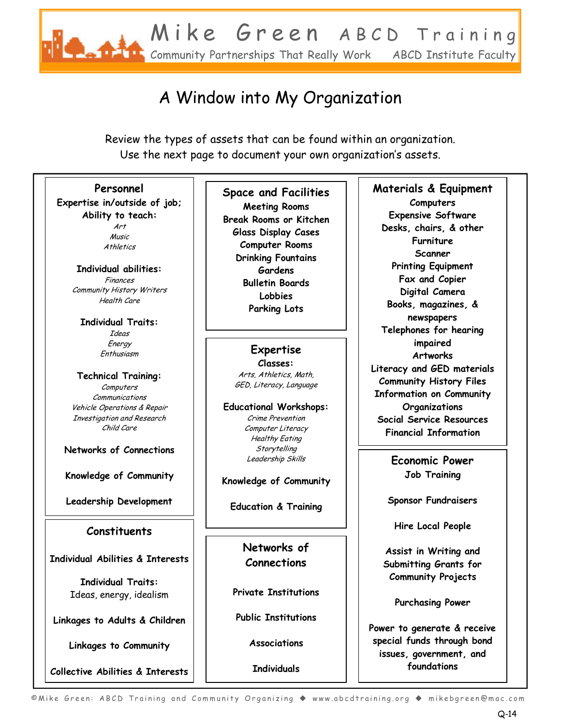

# A Window into My Organization

Review the types of assets that can be found within an organization. Use the next page to document your own organization's assets.

#### **Personnel**

**Expertise in/outside of job; Ability to teach:**  Art

> **Athletics Individual abilities:**  Finances

Music

Community History Writers Health Care

**Individual Traits:**  Ideas Energy Enthusiasm

**Technical Training:**  Computers Communications Vehicle Operations & Repair Investigation and Research Child Care

**Networks of Connections** 

**Knowledge of Community** 

**Leadership Development** 

#### **Constituents**

**Individual Abilities & Interests** 

**Individual Traits:**  Ideas, energy, idealism

**Linkages to Adults & Children** 

**Linkages to Community** 

**Collective Abilities & Interests**

**Space and Facilities Meeting Rooms Break Rooms or Kitchen Glass Display Cases Computer Rooms Drinking Fountains Gardens Bulletin Boards Lobbies Parking Lots** 

> **Expertise Classes:**  Arts, Athletics, Math, GED, Literacy, Language

**Educational Workshops:**  Crime Prevention Computer Literacy Healthy Eating **Storytelling** Leadership Skills

**Knowledge of Community** 

**Education & Training** 

**Networks of Connections** 

**Private Institutions** 

**Public Institutions** 

**Associations** 

**Individuals** 

#### **Materials & Equipment Computers Expensive Software Desks, chairs, & other Furniture**

**Scanner Printing Equipment Fax and Copier Digital Camera Books, magazines, & newspapers Telephones for hearing impaired Artworks Literacy and GED materials Community History Files Information on Community Organizations Social Service Resources Financial Information** 

> **Economic Power Job Training**

**Sponsor Fundraisers** 

**Hire Local People** 

**Assist in Writing and Submitting Grants for Community Projects** 

**Purchasing Power** 

**Power to generate & receive special funds through bond issues, government, and foundations**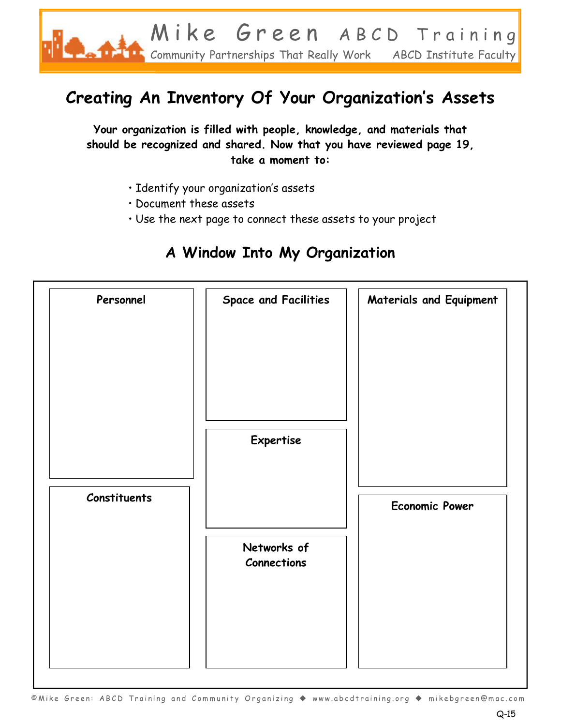

# **Creating An Inventory Of Your Organization's Assets**

**Your organization is filled with people, knowledge, and materials that should be recognized and shared. Now that you have reviewed page 19, take a moment to:**

- · Identify your organization's assets
- · Document these assets
- $\cdot$  Use the next page to connect these assets to your project

### **A Window Into My Organization**

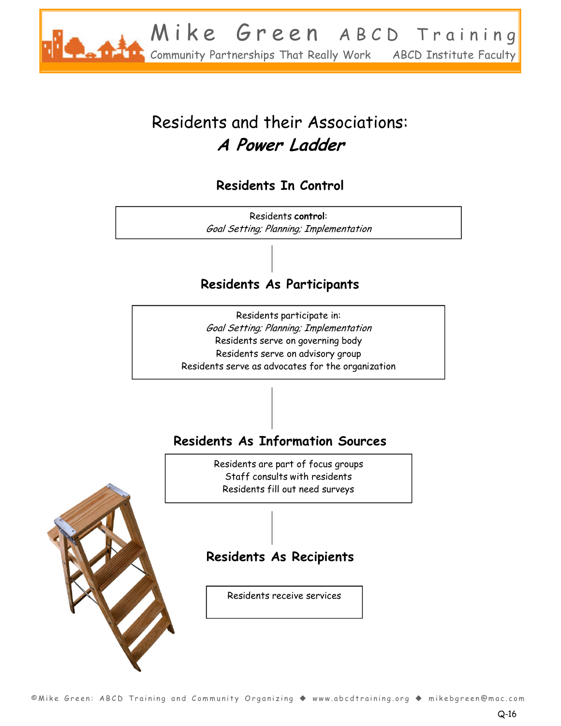

# Residents and their Associations: **A Power Ladder**

### **Residents In Control**

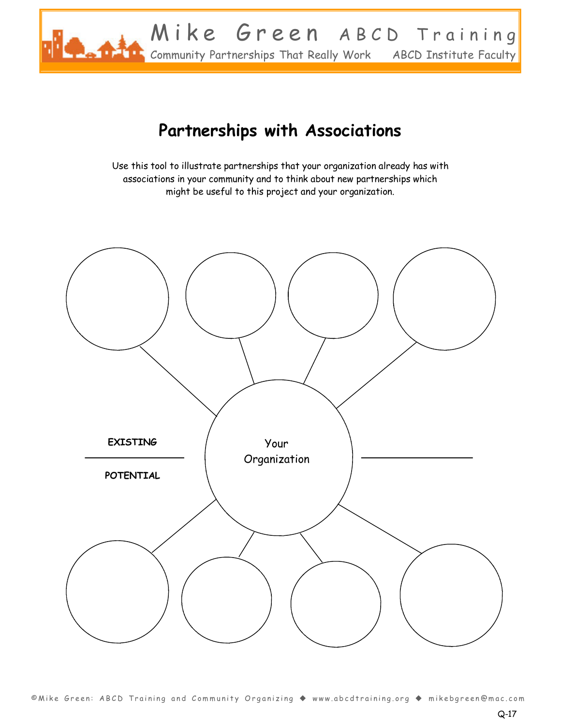

## **Partnerships with Associations**

Use this tool to illustrate partnerships that your organization already has with associations in your community and to think about new partnerships which might be useful to this project and your organization.